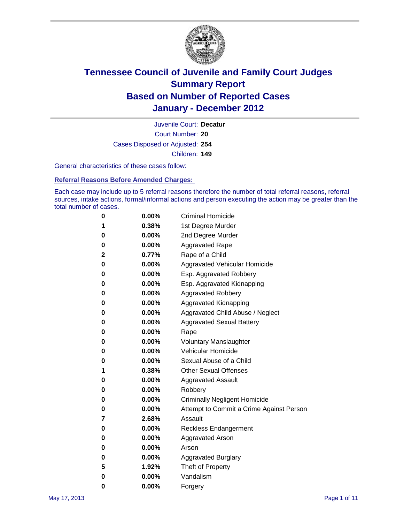

Court Number: **20** Juvenile Court: **Decatur** Cases Disposed or Adjusted: **254** Children: **149**

General characteristics of these cases follow:

**Referral Reasons Before Amended Charges:** 

Each case may include up to 5 referral reasons therefore the number of total referral reasons, referral sources, intake actions, formal/informal actions and person executing the action may be greater than the total number of cases.

| 0 | $0.00\%$ | <b>Criminal Homicide</b>                 |
|---|----------|------------------------------------------|
| 1 | 0.38%    | 1st Degree Murder                        |
| 0 | $0.00\%$ | 2nd Degree Murder                        |
| 0 | $0.00\%$ | <b>Aggravated Rape</b>                   |
| 2 | 0.77%    | Rape of a Child                          |
| 0 | $0.00\%$ | Aggravated Vehicular Homicide            |
| 0 | $0.00\%$ | Esp. Aggravated Robbery                  |
| 0 | $0.00\%$ | Esp. Aggravated Kidnapping               |
| 0 | $0.00\%$ | <b>Aggravated Robbery</b>                |
| 0 | $0.00\%$ | Aggravated Kidnapping                    |
| 0 | $0.00\%$ | Aggravated Child Abuse / Neglect         |
| 0 | $0.00\%$ | <b>Aggravated Sexual Battery</b>         |
| 0 | 0.00%    | Rape                                     |
| 0 | $0.00\%$ | <b>Voluntary Manslaughter</b>            |
| 0 | $0.00\%$ | Vehicular Homicide                       |
| 0 | $0.00\%$ | Sexual Abuse of a Child                  |
| 1 | 0.38%    | <b>Other Sexual Offenses</b>             |
| 0 | $0.00\%$ | <b>Aggravated Assault</b>                |
| 0 | $0.00\%$ | Robbery                                  |
| 0 | $0.00\%$ | <b>Criminally Negligent Homicide</b>     |
| 0 | $0.00\%$ | Attempt to Commit a Crime Against Person |
| 7 | 2.68%    | Assault                                  |
| 0 | $0.00\%$ | <b>Reckless Endangerment</b>             |
| 0 | $0.00\%$ | <b>Aggravated Arson</b>                  |
| 0 | $0.00\%$ | Arson                                    |
| 0 | $0.00\%$ | <b>Aggravated Burglary</b>               |
| 5 | 1.92%    | Theft of Property                        |
| 0 | $0.00\%$ | Vandalism                                |
| 0 | 0.00%    | Forgery                                  |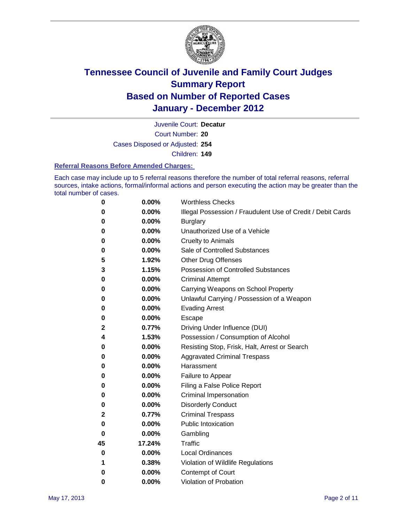

Court Number: **20** Juvenile Court: **Decatur**

Cases Disposed or Adjusted: **254**

Children: **149**

#### **Referral Reasons Before Amended Charges:**

Each case may include up to 5 referral reasons therefore the number of total referral reasons, referral sources, intake actions, formal/informal actions and person executing the action may be greater than the total number of cases.

| 0  | 0.00%  | <b>Worthless Checks</b>                                     |
|----|--------|-------------------------------------------------------------|
| 0  | 0.00%  | Illegal Possession / Fraudulent Use of Credit / Debit Cards |
| 0  | 0.00%  | <b>Burglary</b>                                             |
| 0  | 0.00%  | Unauthorized Use of a Vehicle                               |
| 0  | 0.00%  | <b>Cruelty to Animals</b>                                   |
| 0  | 0.00%  | Sale of Controlled Substances                               |
| 5  | 1.92%  | <b>Other Drug Offenses</b>                                  |
| 3  | 1.15%  | Possession of Controlled Substances                         |
| 0  | 0.00%  | <b>Criminal Attempt</b>                                     |
| 0  | 0.00%  | Carrying Weapons on School Property                         |
| 0  | 0.00%  | Unlawful Carrying / Possession of a Weapon                  |
| 0  | 0.00%  | <b>Evading Arrest</b>                                       |
| 0  | 0.00%  | Escape                                                      |
| 2  | 0.77%  | Driving Under Influence (DUI)                               |
| 4  | 1.53%  | Possession / Consumption of Alcohol                         |
| 0  | 0.00%  | Resisting Stop, Frisk, Halt, Arrest or Search               |
| 0  | 0.00%  | <b>Aggravated Criminal Trespass</b>                         |
| 0  | 0.00%  | Harassment                                                  |
| 0  | 0.00%  | Failure to Appear                                           |
| 0  | 0.00%  | Filing a False Police Report                                |
| 0  | 0.00%  | Criminal Impersonation                                      |
| 0  | 0.00%  | <b>Disorderly Conduct</b>                                   |
| 2  | 0.77%  | <b>Criminal Trespass</b>                                    |
| 0  | 0.00%  | <b>Public Intoxication</b>                                  |
| 0  | 0.00%  | Gambling                                                    |
| 45 | 17.24% | <b>Traffic</b>                                              |
| 0  | 0.00%  | <b>Local Ordinances</b>                                     |
| 1  | 0.38%  | Violation of Wildlife Regulations                           |
| 0  | 0.00%  | Contempt of Court                                           |
| 0  | 0.00%  | Violation of Probation                                      |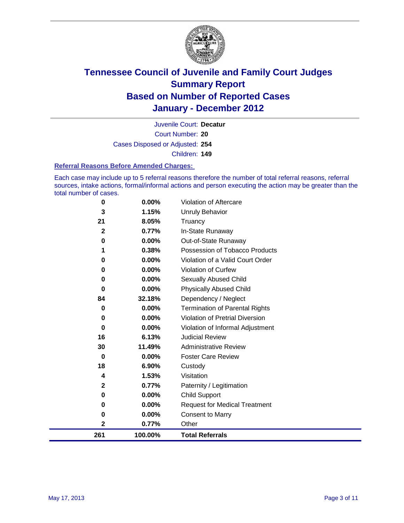

Court Number: **20** Juvenile Court: **Decatur** Cases Disposed or Adjusted: **254** Children: **149**

#### **Referral Reasons Before Amended Charges:**

Each case may include up to 5 referral reasons therefore the number of total referral reasons, referral sources, intake actions, formal/informal actions and person executing the action may be greater than the total number of cases.

| 261          | 100.00% | <b>Total Referrals</b>                 |
|--------------|---------|----------------------------------------|
| $\mathbf{2}$ | 0.77%   | Other                                  |
| 0            | 0.00%   | <b>Consent to Marry</b>                |
| 0            | 0.00%   | <b>Request for Medical Treatment</b>   |
| 0            | 0.00%   | <b>Child Support</b>                   |
| 2            | 0.77%   | Paternity / Legitimation               |
| 4            | 1.53%   | Visitation                             |
| 18           | 6.90%   | Custody                                |
| 0            | 0.00%   | <b>Foster Care Review</b>              |
| 30           | 11.49%  | <b>Administrative Review</b>           |
| 16           | 6.13%   | <b>Judicial Review</b>                 |
| 0            | 0.00%   | Violation of Informal Adjustment       |
| 0            | 0.00%   | <b>Violation of Pretrial Diversion</b> |
| 0            | 0.00%   | Termination of Parental Rights         |
| 84           | 32.18%  | Dependency / Neglect                   |
| $\bf{0}$     | 0.00%   | <b>Physically Abused Child</b>         |
| 0            | 0.00%   | <b>Sexually Abused Child</b>           |
| 0            | 0.00%   | Violation of Curfew                    |
| 0            | 0.00%   | Violation of a Valid Court Order       |
|              | 0.38%   | Possession of Tobacco Products         |
| 0            | 0.00%   | Out-of-State Runaway                   |
| $\mathbf{2}$ | 0.77%   | In-State Runaway                       |
| 21           | 8.05%   | Truancy                                |
| 3            | 1.15%   | Unruly Behavior                        |
| 0            | 0.00%   | Violation of Aftercare                 |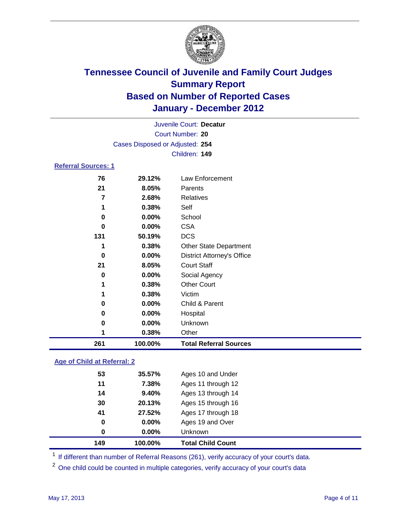

| Juvenile Court: Decatur    |                                 |                                   |  |
|----------------------------|---------------------------------|-----------------------------------|--|
| Court Number: 20           |                                 |                                   |  |
|                            | Cases Disposed or Adjusted: 254 |                                   |  |
|                            |                                 | Children: 149                     |  |
| <b>Referral Sources: 1</b> |                                 |                                   |  |
| 76                         | 29.12%                          | Law Enforcement                   |  |
| 21                         | 8.05%                           | Parents                           |  |
| 7                          | 2.68%                           | <b>Relatives</b>                  |  |
| 1                          | 0.38%                           | Self                              |  |
| 0                          | 0.00%                           | School                            |  |
| $\bf{0}$                   | 0.00%                           | <b>CSA</b>                        |  |
| 131                        | 50.19%                          | <b>DCS</b>                        |  |
| 1                          | 0.38%                           | <b>Other State Department</b>     |  |
| 0                          | 0.00%                           | <b>District Attorney's Office</b> |  |
| 21                         | 8.05%                           | <b>Court Staff</b>                |  |
| 0                          | 0.00%                           | Social Agency                     |  |
|                            | 0.38%                           | <b>Other Court</b>                |  |
|                            | 0.38%                           | Victim                            |  |
| 0                          | 0.00%                           | Child & Parent                    |  |
| 0                          | 0.00%                           | Hospital                          |  |
| 0                          | 0.00%                           | Unknown                           |  |
| 1                          | 0.38%                           | Other                             |  |
| 261                        | 100.00%                         | <b>Total Referral Sources</b>     |  |

### **Age of Child at Referral: 2**

| 0  | $0.00\%$ | Unknown            |  |
|----|----------|--------------------|--|
| 0  | 0.00%    | Ages 19 and Over   |  |
| 41 | 27.52%   | Ages 17 through 18 |  |
| 30 | 20.13%   | Ages 15 through 16 |  |
| 14 | 9.40%    | Ages 13 through 14 |  |
| 11 | 7.38%    | Ages 11 through 12 |  |
| 53 | 35.57%   | Ages 10 and Under  |  |
|    |          |                    |  |

<sup>1</sup> If different than number of Referral Reasons (261), verify accuracy of your court's data.

<sup>2</sup> One child could be counted in multiple categories, verify accuracy of your court's data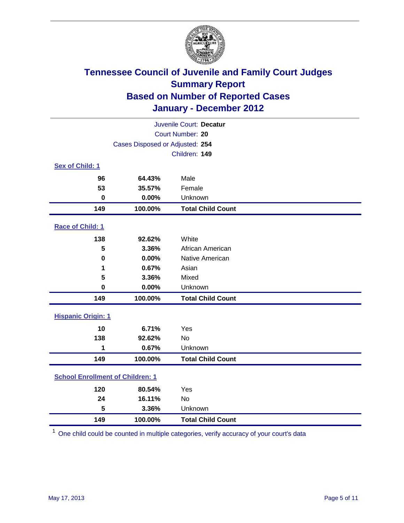

| Juvenile Court: Decatur                 |                                 |                          |  |  |
|-----------------------------------------|---------------------------------|--------------------------|--|--|
|                                         | Court Number: 20                |                          |  |  |
|                                         | Cases Disposed or Adjusted: 254 |                          |  |  |
|                                         |                                 | Children: 149            |  |  |
| Sex of Child: 1                         |                                 |                          |  |  |
| 96                                      | 64.43%                          | Male                     |  |  |
| 53                                      | 35.57%                          | Female                   |  |  |
| $\mathbf 0$                             | 0.00%                           | Unknown                  |  |  |
| 149                                     | 100.00%                         | <b>Total Child Count</b> |  |  |
| Race of Child: 1                        |                                 |                          |  |  |
| 138                                     | 92.62%                          | White                    |  |  |
| 5                                       | 3.36%                           | African American         |  |  |
| $\mathbf 0$                             | 0.00%                           | Native American          |  |  |
| 1                                       | 0.67%                           | Asian                    |  |  |
| 5                                       | 3.36%                           | Mixed                    |  |  |
| $\mathbf 0$                             | 0.00%                           | Unknown                  |  |  |
| 149                                     | 100.00%                         | <b>Total Child Count</b> |  |  |
| <b>Hispanic Origin: 1</b>               |                                 |                          |  |  |
| 10                                      | 6.71%                           | Yes                      |  |  |
| 138                                     | 92.62%                          | <b>No</b>                |  |  |
| 1                                       | 0.67%                           | Unknown                  |  |  |
| 149                                     | 100.00%                         | <b>Total Child Count</b> |  |  |
| <b>School Enrollment of Children: 1</b> |                                 |                          |  |  |
| 120                                     | 80.54%                          | Yes                      |  |  |
| 24                                      | 16.11%                          | No                       |  |  |
| 5                                       | 3.36%                           | Unknown                  |  |  |
| 149                                     | 100.00%                         | <b>Total Child Count</b> |  |  |

One child could be counted in multiple categories, verify accuracy of your court's data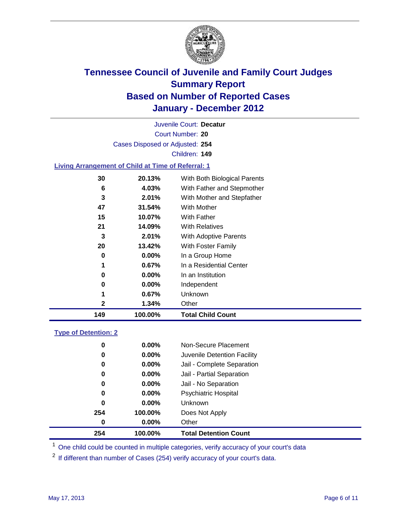

Court Number: **20** Juvenile Court: **Decatur** Cases Disposed or Adjusted: **254** Children: **149**

#### **Living Arrangement of Child at Time of Referral: 1**

| 149 | 100.00%  | <b>Total Child Count</b>     |
|-----|----------|------------------------------|
| 2   | 1.34%    | Other                        |
| 1   | 0.67%    | Unknown                      |
| 0   | $0.00\%$ | Independent                  |
| 0   | $0.00\%$ | In an Institution            |
| 1   | $0.67\%$ | In a Residential Center      |
| 0   | 0.00%    | In a Group Home              |
| 20  | 13.42%   | With Foster Family           |
| 3   | 2.01%    | With Adoptive Parents        |
| 21  | 14.09%   | <b>With Relatives</b>        |
| 15  | 10.07%   | <b>With Father</b>           |
| 47  | 31.54%   | With Mother                  |
| 3   | 2.01%    | With Mother and Stepfather   |
| 6   | 4.03%    | With Father and Stepmother   |
| 30  | 20.13%   | With Both Biological Parents |
|     |          |                              |

#### **Type of Detention: 2**

| 254      | 100.00%  | <b>Total Detention Count</b> |  |
|----------|----------|------------------------------|--|
| $\bf{0}$ | $0.00\%$ | Other                        |  |
| 254      | 100.00%  | Does Not Apply               |  |
| 0        | $0.00\%$ | Unknown                      |  |
| 0        | 0.00%    | <b>Psychiatric Hospital</b>  |  |
| 0        | 0.00%    | Jail - No Separation         |  |
| 0        | $0.00\%$ | Jail - Partial Separation    |  |
| 0        | $0.00\%$ | Jail - Complete Separation   |  |
| 0        | $0.00\%$ | Juvenile Detention Facility  |  |
| 0        | $0.00\%$ | Non-Secure Placement         |  |
|          |          |                              |  |

<sup>1</sup> One child could be counted in multiple categories, verify accuracy of your court's data

<sup>2</sup> If different than number of Cases (254) verify accuracy of your court's data.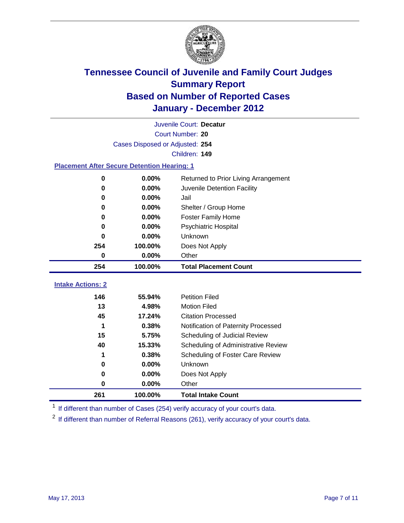

|                                                    | Juvenile Court: Decatur         |                                      |  |  |  |
|----------------------------------------------------|---------------------------------|--------------------------------------|--|--|--|
|                                                    | Court Number: 20                |                                      |  |  |  |
|                                                    | Cases Disposed or Adjusted: 254 |                                      |  |  |  |
|                                                    |                                 | Children: 149                        |  |  |  |
| <b>Placement After Secure Detention Hearing: 1</b> |                                 |                                      |  |  |  |
| 0                                                  | 0.00%                           | Returned to Prior Living Arrangement |  |  |  |
| $\bf{0}$                                           | 0.00%                           | Juvenile Detention Facility          |  |  |  |
| 0                                                  | 0.00%                           | Jail                                 |  |  |  |
| $\bf{0}$                                           | 0.00%                           | Shelter / Group Home                 |  |  |  |
| 0                                                  | 0.00%                           | <b>Foster Family Home</b>            |  |  |  |
| 0                                                  | 0.00%                           | Psychiatric Hospital                 |  |  |  |
| 0                                                  | 0.00%                           | Unknown                              |  |  |  |
| 254                                                | 100.00%                         | Does Not Apply                       |  |  |  |
| 0                                                  | 0.00%                           | Other                                |  |  |  |
| 254                                                | 100.00%                         | <b>Total Placement Count</b>         |  |  |  |
| <b>Intake Actions: 2</b>                           |                                 |                                      |  |  |  |
|                                                    |                                 |                                      |  |  |  |
| 146                                                | 55.94%                          | <b>Petition Filed</b>                |  |  |  |
| 13                                                 | 4.98%                           | <b>Motion Filed</b>                  |  |  |  |
| 45                                                 | 17.24%                          | <b>Citation Processed</b>            |  |  |  |
| 1                                                  | 0.38%                           | Notification of Paternity Processed  |  |  |  |
| 15                                                 | 5.75%                           | Scheduling of Judicial Review        |  |  |  |
| 40                                                 | 15.33%                          | Scheduling of Administrative Review  |  |  |  |
|                                                    | 0.38%                           | Scheduling of Foster Care Review     |  |  |  |
| 0                                                  | 0.00%                           | Unknown                              |  |  |  |
| $\bf{0}$                                           | 0.00%                           | Does Not Apply                       |  |  |  |
| $\pmb{0}$                                          | 0.00%                           | Other                                |  |  |  |
| 261                                                | 100.00%                         | <b>Total Intake Count</b>            |  |  |  |

<sup>1</sup> If different than number of Cases (254) verify accuracy of your court's data.

<sup>2</sup> If different than number of Referral Reasons (261), verify accuracy of your court's data.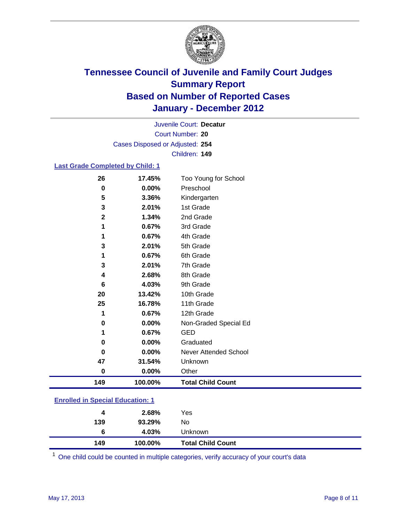

Court Number: **20** Juvenile Court: **Decatur** Cases Disposed or Adjusted: **254** Children: **149**

#### **Last Grade Completed by Child: 1**

| 26           | 17.45%  | Too Young for School         |
|--------------|---------|------------------------------|
| $\bf{0}$     | 0.00%   | Preschool                    |
| 5            | 3.36%   | Kindergarten                 |
| 3            | 2.01%   | 1st Grade                    |
| $\mathbf{2}$ | 1.34%   | 2nd Grade                    |
| 1            | 0.67%   | 3rd Grade                    |
| 1            | 0.67%   | 4th Grade                    |
| 3            | 2.01%   | 5th Grade                    |
| 1            | 0.67%   | 6th Grade                    |
| 3            | 2.01%   | 7th Grade                    |
| 4            | 2.68%   | 8th Grade                    |
| 6            | 4.03%   | 9th Grade                    |
| 20           | 13.42%  | 10th Grade                   |
| 25           | 16.78%  | 11th Grade                   |
| 1            | 0.67%   | 12th Grade                   |
| 0            | 0.00%   | Non-Graded Special Ed        |
| 1            | 0.67%   | <b>GED</b>                   |
| 0            | 0.00%   | Graduated                    |
| 0            | 0.00%   | <b>Never Attended School</b> |
| 47           | 31.54%  | Unknown                      |
| $\bf{0}$     | 0.00%   | Other                        |
| 149          | 100.00% | <b>Total Child Count</b>     |

### **Enrolled in Special Education: 1**

| 149 | 100.00% | <b>Total Child Count</b> |  |
|-----|---------|--------------------------|--|
| 6   | 4.03%   | Unknown                  |  |
| 139 | 93.29%  | No                       |  |
| 4   | 2.68%   | Yes                      |  |
|     |         |                          |  |

One child could be counted in multiple categories, verify accuracy of your court's data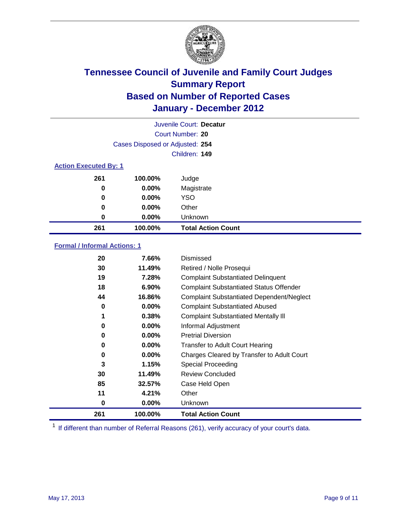

|                              | Juvenile Court: Decatur         |                           |  |
|------------------------------|---------------------------------|---------------------------|--|
|                              |                                 | Court Number: 20          |  |
|                              | Cases Disposed or Adjusted: 254 |                           |  |
|                              |                                 | Children: 149             |  |
| <b>Action Executed By: 1</b> |                                 |                           |  |
| 261                          | 100.00%                         | Judge                     |  |
| 0                            | $0.00\%$                        | Magistrate                |  |
| 0                            | $0.00\%$                        | <b>YSO</b>                |  |
| 0                            | 0.00%                           | Other                     |  |
| 0                            | 0.00%                           | Unknown                   |  |
| 261                          | 100.00%                         | <b>Total Action Count</b> |  |

### **Formal / Informal Actions: 1**

| 20  | 7.66%    | Dismissed                                        |
|-----|----------|--------------------------------------------------|
| 30  | 11.49%   | Retired / Nolle Prosequi                         |
| 19  | 7.28%    | <b>Complaint Substantiated Delinquent</b>        |
| 18  | 6.90%    | <b>Complaint Substantiated Status Offender</b>   |
| 44  | 16.86%   | <b>Complaint Substantiated Dependent/Neglect</b> |
| 0   | $0.00\%$ | <b>Complaint Substantiated Abused</b>            |
| 1   | 0.38%    | <b>Complaint Substantiated Mentally III</b>      |
| 0   | $0.00\%$ | Informal Adjustment                              |
| 0   | $0.00\%$ | <b>Pretrial Diversion</b>                        |
| 0   | $0.00\%$ | <b>Transfer to Adult Court Hearing</b>           |
| 0   | $0.00\%$ | Charges Cleared by Transfer to Adult Court       |
| 3   | 1.15%    | Special Proceeding                               |
| 30  | 11.49%   | <b>Review Concluded</b>                          |
| 85  | 32.57%   | Case Held Open                                   |
| 11  | 4.21%    | Other                                            |
| 0   | $0.00\%$ | Unknown                                          |
| 261 | 100.00%  | <b>Total Action Count</b>                        |

<sup>1</sup> If different than number of Referral Reasons (261), verify accuracy of your court's data.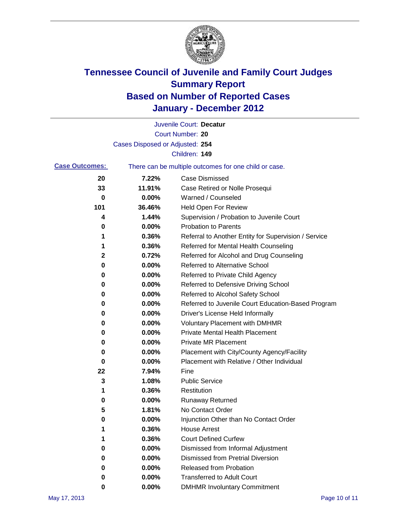

|                       |                                 | Juvenile Court: Decatur                               |
|-----------------------|---------------------------------|-------------------------------------------------------|
|                       |                                 | Court Number: 20                                      |
|                       | Cases Disposed or Adjusted: 254 |                                                       |
|                       |                                 | Children: 149                                         |
| <b>Case Outcomes:</b> |                                 | There can be multiple outcomes for one child or case. |
| 20                    | 7.22%                           | <b>Case Dismissed</b>                                 |
| 33                    | 11.91%                          | Case Retired or Nolle Prosequi                        |
| 0                     | 0.00%                           | Warned / Counseled                                    |
| 101                   | 36.46%                          | Held Open For Review                                  |
| 4                     | 1.44%                           | Supervision / Probation to Juvenile Court             |
| 0                     | 0.00%                           | <b>Probation to Parents</b>                           |
| 1                     | 0.36%                           | Referral to Another Entity for Supervision / Service  |
| 1                     | 0.36%                           | Referred for Mental Health Counseling                 |
| 2                     | 0.72%                           | Referred for Alcohol and Drug Counseling              |
| 0                     | 0.00%                           | <b>Referred to Alternative School</b>                 |
| 0                     | 0.00%                           | Referred to Private Child Agency                      |
| 0                     | 0.00%                           | Referred to Defensive Driving School                  |
| 0                     | 0.00%                           | Referred to Alcohol Safety School                     |
| 0                     | 0.00%                           | Referred to Juvenile Court Education-Based Program    |
| 0                     | 0.00%                           | Driver's License Held Informally                      |
| 0                     | 0.00%                           | <b>Voluntary Placement with DMHMR</b>                 |
| 0                     | 0.00%                           | <b>Private Mental Health Placement</b>                |
| 0                     | 0.00%                           | <b>Private MR Placement</b>                           |
| 0                     | 0.00%                           | Placement with City/County Agency/Facility            |
| 0                     | 0.00%                           | Placement with Relative / Other Individual            |
| 22                    | 7.94%                           | Fine                                                  |
| 3                     | 1.08%                           | <b>Public Service</b>                                 |
| 1                     | 0.36%                           | Restitution                                           |
| 0                     | 0.00%                           | <b>Runaway Returned</b>                               |
| 5                     | 1.81%                           | No Contact Order                                      |
| 0                     | 0.00%                           | Injunction Other than No Contact Order                |
|                       | 0.36%                           | <b>House Arrest</b>                                   |
| 1                     | 0.36%                           | <b>Court Defined Curfew</b>                           |
| 0                     | 0.00%                           | Dismissed from Informal Adjustment                    |
| 0                     | $0.00\%$                        | <b>Dismissed from Pretrial Diversion</b>              |
| 0                     | 0.00%                           | Released from Probation                               |
| 0                     | 0.00%                           | <b>Transferred to Adult Court</b>                     |
| 0                     | $0.00\%$                        | <b>DMHMR Involuntary Commitment</b>                   |